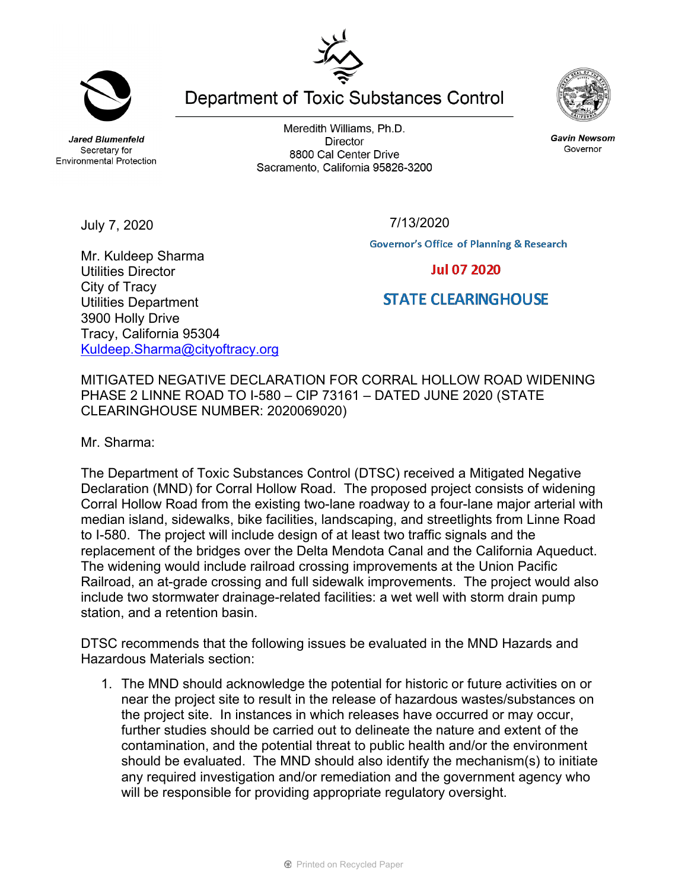**Jared Blumenfeld** Secretary for

July 7, 2020

Meredith Williams, Ph.D. **Director** 8800 Cal Center Drive Sacramento, California 95826-3200

**Department of Toxic Substances Control** 



**Governor's Office of Planning & Research** 

Mr. Kuldeep Sharma Utilities Director City of Tracy Utilities Department 3900 Holly Drive Tracy, California 95304 [Kuldeep.Sharma@cityoftracy.org](mailto:Kuldeep.Sharma@cityoftracy.org) 

MITIGATED NEGATIVE DECLARATION FOR CORRAL HOLLOW ROAD WIDENING PHASE 2 LINNE ROAD TO I-580 – CIP 73161 – DATED JUNE 2020 (STATE CLEARINGHOUSE NUMBER: 2020069020)

Mr. Sharma:

The Department of Toxic Substances Control (DTSC) received a Mitigated Negative Declaration (MND) for Corral Hollow Road. The proposed project consists of widening Corral Hollow Road from the existing two-lane roadway to a four-lane major arterial with median island, sidewalks, bike facilities, landscaping, and streetlights from Linne Road to I-580. The project will include design of at least two traffic signals and the replacement of the bridges over the Delta Mendota Canal and the California Aqueduct. The widening would include railroad crossing improvements at the Union Pacific Railroad, an at-grade crossing and full sidewalk improvements. The project would also include two stormwater drainage-related facilities: a wet well with storm drain pump station, and a retention basin.

DTSC recommends that the following issues be evaluated in the MND Hazards and Hazardous Materials section:

1. The MND should acknowledge the potential for historic or future activities on or near the project site to result in the release of hazardous wastes/substances on the project site. In instances in which releases have occurred or may occur, further studies should be carried out to delineate the nature and extent of the contamination, and the potential threat to public health and/or the environment should be evaluated. The MND should also identify the mechanism(s) to initiate any required investigation and/or remediation and the government agency who will be responsible for providing appropriate regulatory oversight.



**Gavin Newsom** 

Governor



**Environmental Protection** 

**Jul 07 2020** 

**STATE CLEARINGHOUSE** 

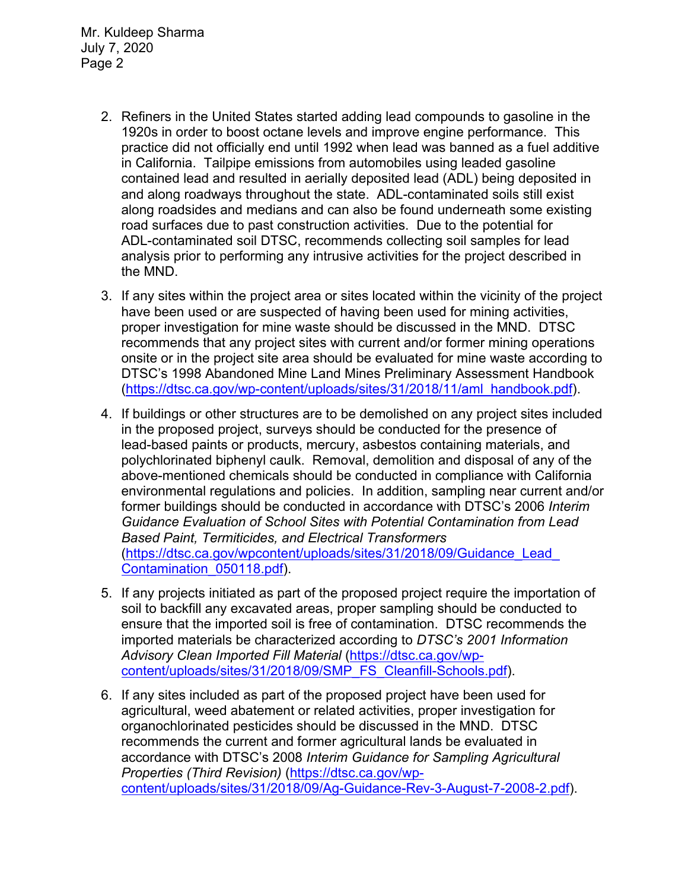Mr. Kuldeep Sharma July 7, 2020 Page 2

- 2. Refiners in the United States started adding lead compounds to gasoline in the 1920s in order to boost octane levels and improve engine performance. This practice did not officially end until 1992 when lead was banned as a fuel additive in California. Tailpipe emissions from automobiles using leaded gasoline contained lead and resulted in aerially deposited lead (ADL) being deposited in and along roadways throughout the state. ADL-contaminated soils still exist along roadsides and medians and can also be found underneath some existing road surfaces due to past construction activities. Due to the potential for ADL-contaminated soil DTSC, recommends collecting soil samples for lead analysis prior to performing any intrusive activities for the project described in the MND.
- 3. If any sites within the project area or sites located within the vicinity of the project have been used or are suspected of having been used for mining activities, proper investigation for mine waste should be discussed in the MND. DTSC recommends that any project sites with current and/or former mining operations onsite or in the project site area should be evaluated for mine waste according to DTSC's 1998 Abandoned Mine Land Mines Preliminary Assessment Handbook [\(https://dtsc.ca.gov/wp-content/uploads/sites/31/2018/11/aml\\_handbook.pdf\)](https://dtsc.ca.gov/wp-content/uploads/sites/31/2018/11/aml_handbook.pdf).
- 4. If buildings or other structures are to be demolished on any project sites included in the proposed project, surveys should be conducted for the presence of lead-based paints or products, mercury, asbestos containing materials, and polychlorinated biphenyl caulk. Removal, demolition and disposal of any of the above-mentioned chemicals should be conducted in compliance with California environmental regulations and policies. In addition, sampling near current and/or former buildings should be conducted in accordance with DTSC's 2006 *Interim Guidance Evaluation of School Sites with Potential Contamination from Lead Based Paint, Termiticides, and Electrical Transformers* [\(https://dtsc.ca.gov/wpcontent/uploads/sites/31/2018/09/Guidance\\_Lead\\_](https://gcc02.safelinks.protection.outlook.com/?url=https%3A%2F%2Fdtsc.ca.gov%2Fwp-content%2Fuploads%2Fsites%2F31%2F2018%2F09%2FGuidance_Lead_Contamination_050118.pdf&data=02%7C01%7C%7C5d5d271a38734f176ff008d74b61ecfd%7C3f4ffbf4c7604c2abab8c63ef4bd2439%7C0%7C0%7C637060756261296590&sdata=1JGWitJI6nMkU%2FVDzi0GYiam5nl8DLJhkRmLCticfdA%3D&reserved=0)  [Contamination\\_050118.pdf\)](https://gcc02.safelinks.protection.outlook.com/?url=https%3A%2F%2Fdtsc.ca.gov%2Fwp-content%2Fuploads%2Fsites%2F31%2F2018%2F09%2FGuidance_Lead_Contamination_050118.pdf&data=02%7C01%7C%7C5d5d271a38734f176ff008d74b61ecfd%7C3f4ffbf4c7604c2abab8c63ef4bd2439%7C0%7C0%7C637060756261296590&sdata=1JGWitJI6nMkU%2FVDzi0GYiam5nl8DLJhkRmLCticfdA%3D&reserved=0).
- 5. If any projects initiated as part of the proposed project require the importation of soil to backfill any excavated areas, proper sampling should be conducted to ensure that the imported soil is free of contamination. DTSC recommends the imported materials be characterized according to *DTSC's 2001 Information Advisory Clean Imported Fill Material* [\(https://dtsc.ca.gov/wp](https://dtsc.ca.gov/wp-content/uploads/sites/31/2018/09/SMP_FS_Cleanfill-Schools.pdf)[content/uploads/sites/31/2018/09/SMP\\_FS\\_Cleanfill-Schools.pdf\)](https://dtsc.ca.gov/wp-content/uploads/sites/31/2018/09/SMP_FS_Cleanfill-Schools.pdf).
- 6. If any sites included as part of the proposed project have been used for agricultural, weed abatement or related activities, proper investigation for organochlorinated pesticides should be discussed in the MND. DTSC recommends the current and former agricultural lands be evaluated in accordance with DTSC's 2008 *Interim Guidance for Sampling Agricultural Properties (Third Revision)* [\(https://dtsc.ca.gov/wp](https://dtsc.ca.gov/wp-content/uploads/sites/31/2018/09/Ag-Guidance-Rev-3-August-7-2008-2.pdf)[content/uploads/sites/31/2018/09/Ag-Guidance-Rev-3-August-7-2008-2.pdf\)](https://dtsc.ca.gov/wp-content/uploads/sites/31/2018/09/Ag-Guidance-Rev-3-August-7-2008-2.pdf).